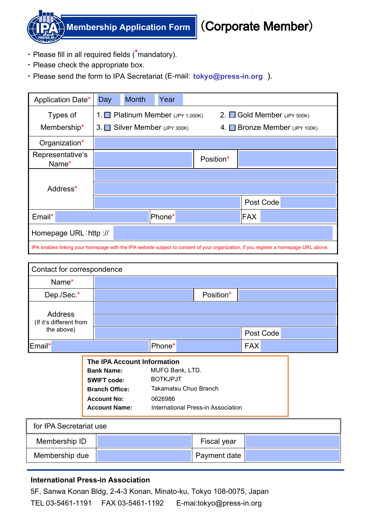

**Membership Application Form**

## (Corporate Member)

- ・ Please fill in all required fields (**\***mandatory).
- ・ Please check the appropriate box.
- ・ Please send the form to IPA Secretariat (E-mail: **tokyo@press-in.org** ).

| Application Date*                                                                                                                     | Day                                                              | <b>Month</b> | Year   |  |                                                                 |     |           |
|---------------------------------------------------------------------------------------------------------------------------------------|------------------------------------------------------------------|--------------|--------|--|-----------------------------------------------------------------|-----|-----------|
| Types of<br>Membership*                                                                                                               | 1. Platinum Member $(JPY 1,000K)$<br>3. Silver Member (JPY 300K) |              |        |  | 2. $\Box$ Gold Member (JPY 500K)<br>4. Bronze Member (JPY 100K) |     |           |
| Organization*                                                                                                                         |                                                                  |              |        |  |                                                                 |     |           |
| Representative's<br>Name*                                                                                                             |                                                                  |              |        |  | Position*                                                       |     |           |
| Address*                                                                                                                              |                                                                  |              |        |  |                                                                 |     |           |
|                                                                                                                                       |                                                                  |              |        |  |                                                                 |     | Post Code |
| Email*                                                                                                                                |                                                                  |              | Phone* |  |                                                                 | FAX |           |
| Homepage URL: http://                                                                                                                 |                                                                  |              |        |  |                                                                 |     |           |
| IPA enables linking your homepage with the IPA website subject to consent of your organization, if you register a homepage URL above. |                                                                  |              |        |  |                                                                 |     |           |

| Contact for correspondence         |  |                                                                                                                                                      |                                                                                                                     |  |            |           |  |  |
|------------------------------------|--|------------------------------------------------------------------------------------------------------------------------------------------------------|---------------------------------------------------------------------------------------------------------------------|--|------------|-----------|--|--|
| Name*                              |  |                                                                                                                                                      |                                                                                                                     |  |            |           |  |  |
| Dep./Sec.*                         |  |                                                                                                                                                      |                                                                                                                     |  |            |           |  |  |
| Address<br>(If it's different from |  |                                                                                                                                                      |                                                                                                                     |  |            |           |  |  |
| the above)                         |  |                                                                                                                                                      |                                                                                                                     |  |            | Post Code |  |  |
| Email*                             |  | Phone*                                                                                                                                               |                                                                                                                     |  | <b>FAX</b> |           |  |  |
|                                    |  | <b>The IPA Account Information</b><br><b>Bank Name:</b><br><b>SWIFT code:</b><br><b>Branch Office:</b><br><b>Account No:</b><br><b>Account Name:</b> | MUFG Bank, LTD.<br><b>BOTKJPJT</b><br><b>Takamatsu Chuo Branch</b><br>0626986<br>International Press-in Association |  |            |           |  |  |
| for IPA Secretariat use            |  |                                                                                                                                                      |                                                                                                                     |  |            |           |  |  |
| Membership ID                      |  | Fiscal year                                                                                                                                          |                                                                                                                     |  |            |           |  |  |
| Membership due                     |  |                                                                                                                                                      | Payment date                                                                                                        |  |            |           |  |  |
|                                    |  |                                                                                                                                                      |                                                                                                                     |  |            |           |  |  |

## **International Press-in Association**

 5F, Sanwa Konan Bldg, 2-4-3 Konan, Minato-ku, Tokyo 108-0075, Japan TEL 03-5461-1191 FAX 03-5461-1192 E-mai:tokyo@press-in.org